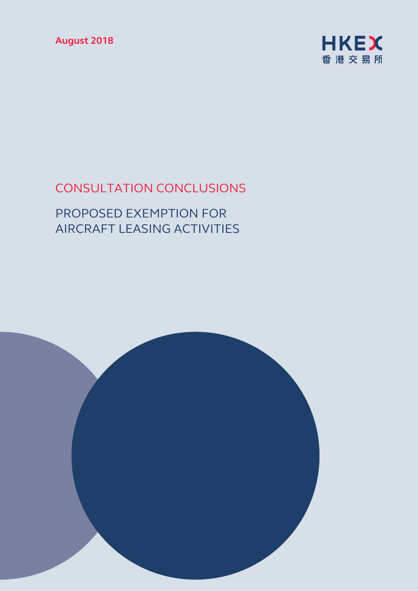**August 2018** 



# CONSULTATION CONCLUSIONS

# PROPOSED EXEMPTION FOR AIRCRAFT LEASING ACTIVITIES

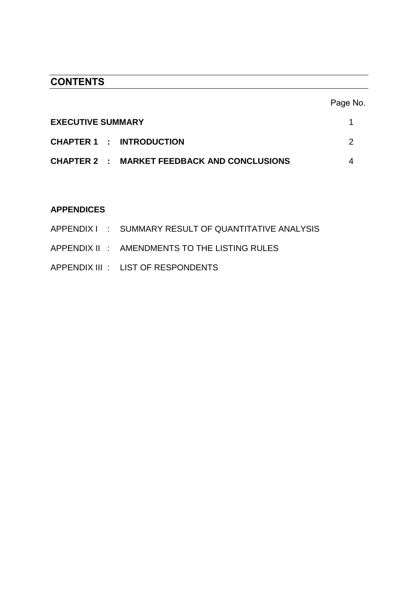# **CONTENTS**

|                                             | Page No. |
|---------------------------------------------|----------|
| <b>EXECUTIVE SUMMARY</b>                    |          |
| <b>CHAPTER 1 : INTRODUCTION</b>             |          |
| CHAPTER 2 : MARKET FEEDBACK AND CONCLUSIONS |          |

# **APPENDICES**

|  | APPENDIX I : SUMMARY RESULT OF QUANTITATIVE ANALYSIS |
|--|------------------------------------------------------|
|  | APPENDIX II : AMENDMENTS TO THE LISTING RULES        |
|  | APPENDIX III : LIST OF RESPONDENTS                   |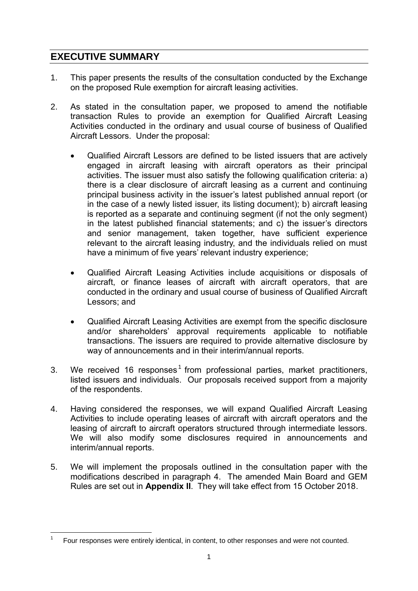# **EXECUTIVE SUMMARY**

1

- 1. This paper presents the results of the consultation conducted by the Exchange on the proposed Rule exemption for aircraft leasing activities.
- 2. As stated in the consultation paper, we proposed to amend the notifiable transaction Rules to provide an exemption for Qualified Aircraft Leasing Activities conducted in the ordinary and usual course of business of Qualified Aircraft Lessors. Under the proposal:
	- Qualified Aircraft Lessors are defined to be listed issuers that are actively engaged in aircraft leasing with aircraft operators as their principal activities. The issuer must also satisfy the following qualification criteria: a) there is a clear disclosure of aircraft leasing as a current and continuing principal business activity in the issuer's latest published annual report (or in the case of a newly listed issuer, its listing document); b) aircraft leasing is reported as a separate and continuing segment (if not the only segment) in the latest published financial statements; and c) the issuer's directors and senior management, taken together, have sufficient experience relevant to the aircraft leasing industry, and the individuals relied on must have a minimum of five years' relevant industry experience;
	- Qualified Aircraft Leasing Activities include acquisitions or disposals of aircraft, or finance leases of aircraft with aircraft operators, that are conducted in the ordinary and usual course of business of Qualified Aircraft Lessors; and
	- Qualified Aircraft Leasing Activities are exempt from the specific disclosure and/or shareholders' approval requirements applicable to notifiable transactions. The issuers are required to provide alternative disclosure by way of announcements and in their interim/annual reports.
- 3. We received 16 responses<sup>1</sup> from professional parties, market practitioners, listed issuers and individuals. Our proposals received support from a majority of the respondents.
- 4. Having considered the responses, we will expand Qualified Aircraft Leasing Activities to include operating leases of aircraft with aircraft operators and the leasing of aircraft to aircraft operators structured through intermediate lessors. We will also modify some disclosures required in announcements and interim/annual reports.
- 5. We will implement the proposals outlined in the consultation paper with the modifications described in paragraph 4. The amended Main Board and GEM Rules are set out in **Appendix II**. They will take effect from 15 October 2018.

<sup>1</sup> Four responses were entirely identical, in content, to other responses and were not counted.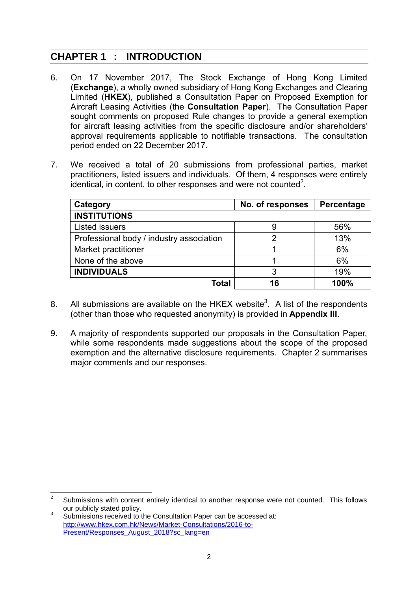# **CHAPTER 1 : INTRODUCTION**

- 6. On 17 November 2017, The Stock Exchange of Hong Kong Limited (**Exchange**), a wholly owned subsidiary of Hong Kong Exchanges and Clearing Limited (**HKEX**), published a Consultation Paper on Proposed Exemption for Aircraft Leasing Activities (the **Consultation Paper**). The Consultation Paper sought comments on proposed Rule changes to provide a general exemption for aircraft leasing activities from the specific disclosure and/or shareholders' approval requirements applicable to notifiable transactions. The consultation period ended on 22 December 2017.
- 7. We received a total of 20 submissions from professional parties, market practitioners, listed issuers and individuals. Of them, 4 responses were entirely identical, in content, to other responses and were not counted<sup>2</sup>.

| Category                                 | No. of responses | Percentage |
|------------------------------------------|------------------|------------|
| <b>INSTITUTIONS</b>                      |                  |            |
| <b>Listed issuers</b>                    | 9                | 56%        |
| Professional body / industry association | 2                | 13%        |
| Market practitioner                      |                  | 6%         |
| None of the above                        |                  | 6%         |
| <b>INDIVIDUALS</b>                       | 3                | 19%        |
| <b>Total</b>                             | 16               | 100%       |

- 8. All submissions are available on the HKEX website<sup>3</sup>. A list of the respondents (other than those who requested anonymity) is provided in **Appendix III**.
- 9. A majority of respondents supported our proposals in the Consultation Paper, while some respondents made suggestions about the scope of the proposed exemption and the alternative disclosure requirements. Chapter 2 summarises major comments and our responses.

 $\frac{1}{2}$ Submissions with content entirely identical to another response were not counted. This follows our publicly stated policy.

<sup>3</sup> Submissions received to the Consultation Paper can be accessed at: [http://www.hkex.com.hk/News/Market-Consultations/2016-to-](http://www.hkex.com.hk/News/Market-Consultations/2016-to-Present/Responses_August_2018?sc_lang=en)[Present/Responses\\_August\\_2018?sc\\_lang=en](http://www.hkex.com.hk/News/Market-Consultations/2016-to-Present/Responses_August_2018?sc_lang=en)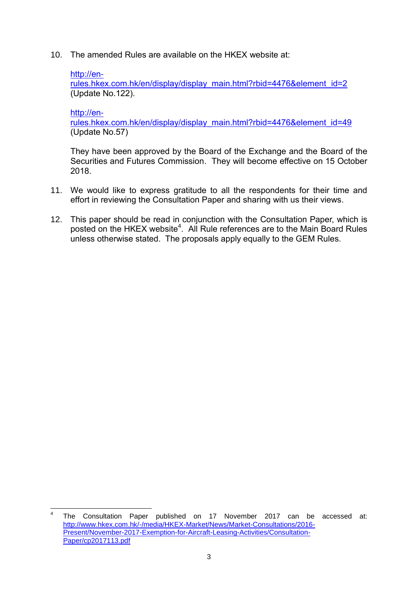10. The amended Rules are available on the HKEX website at:

#### [http://en-](http://en-rules.hkex.com.hk/en/display/display_main.html?rbid=4476&element_id=2)

[rules.hkex.com.hk/en/display/display\\_main.html?rbid=4476&element\\_id=2](http://en-rules.hkex.com.hk/en/display/display_main.html?rbid=4476&element_id=2) (Update No.122).

[http://en-](http://en-rules.hkex.com.hk/en/display/display_main.html?rbid=4476&element_id=49)

[rules.hkex.com.hk/en/display/display\\_main.html?rbid=4476&element\\_id=49](http://en-rules.hkex.com.hk/en/display/display_main.html?rbid=4476&element_id=49) (Update No.57)

They have been approved by the Board of the Exchange and the Board of the Securities and Futures Commission. They will become effective on 15 October 2018.

- 11. We would like to express gratitude to all the respondents for their time and effort in reviewing the Consultation Paper and sharing with us their views.
- 12. This paper should be read in conjunction with the Consultation Paper, which is posted on the HKEX website<sup>4</sup>. All Rule references are to the Main Board Rules unless otherwise stated. The proposals apply equally to the GEM Rules.

 $\frac{1}{4}$ The Consultation Paper published on 17 November 2017 can be accessed at: [http://www.hkex.com.hk/-/media/HKEX-Market/News/Market-Consultations/2016-](http://www.hkex.com.hk/-/media/HKEX-Market/News/Market-Consultations/2016-Present/November-2017-Exemption-for-Aircraft-Leasing-Activities/Consultation-Paper/cp2017113.pdf) [Present/November-2017-Exemption-for-Aircraft-Leasing-Activities/Consultation-](http://www.hkex.com.hk/-/media/HKEX-Market/News/Market-Consultations/2016-Present/November-2017-Exemption-for-Aircraft-Leasing-Activities/Consultation-Paper/cp2017113.pdf)[Paper/cp2017113.pdf](http://www.hkex.com.hk/-/media/HKEX-Market/News/Market-Consultations/2016-Present/November-2017-Exemption-for-Aircraft-Leasing-Activities/Consultation-Paper/cp2017113.pdf)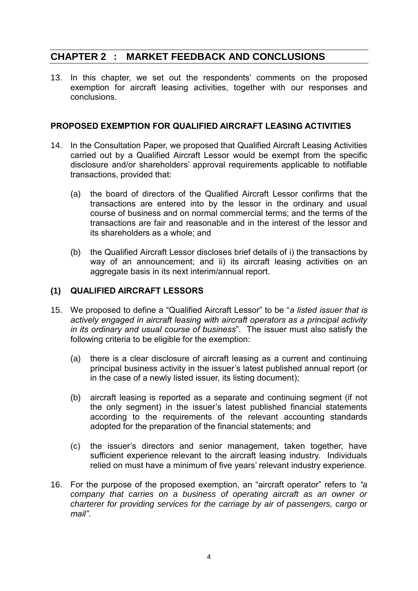# **CHAPTER 2 : MARKET FEEDBACK AND CONCLUSIONS**

13. In this chapter, we set out the respondents' comments on the proposed exemption for aircraft leasing activities, together with our responses and conclusions.

# **PROPOSED EXEMPTION FOR QUALIFIED AIRCRAFT LEASING ACTIVITIES**

- 14. In the Consultation Paper, we proposed that Qualified Aircraft Leasing Activities carried out by a Qualified Aircraft Lessor would be exempt from the specific disclosure and/or shareholders' approval requirements applicable to notifiable transactions, provided that:
	- (a) the board of directors of the Qualified Aircraft Lessor confirms that the transactions are entered into by the lessor in the ordinary and usual course of business and on normal commercial terms; and the terms of the transactions are fair and reasonable and in the interest of the lessor and its shareholders as a whole; and
	- (b) the Qualified Aircraft Lessor discloses brief details of i) the transactions by way of an announcement; and ii) its aircraft leasing activities on an aggregate basis in its next interim/annual report.

# **(1) QUALIFIED AIRCRAFT LESSORS**

- 15. We proposed to define a "Qualified Aircraft Lessor" to be "*a listed issuer that is actively engaged in aircraft leasing with aircraft operators as a principal activity in its ordinary and usual course of business*". The issuer must also satisfy the following criteria to be eligible for the exemption:
	- (a) there is a clear disclosure of aircraft leasing as a current and continuing principal business activity in the issuer's latest published annual report (or in the case of a newly listed issuer, its listing document);
	- (b) aircraft leasing is reported as a separate and continuing segment (if not the only segment) in the issuer's latest published financial statements according to the requirements of the relevant accounting standards adopted for the preparation of the financial statements; and
	- (c) the issuer's directors and senior management, taken together, have sufficient experience relevant to the aircraft leasing industry. Individuals relied on must have a minimum of five years' relevant industry experience.
- 16. For the purpose of the proposed exemption, an "aircraft operator" refers to *"a company that carries on a business of operating aircraft as an owner or charterer for providing services for the carriage by air of passengers, cargo or mail"*.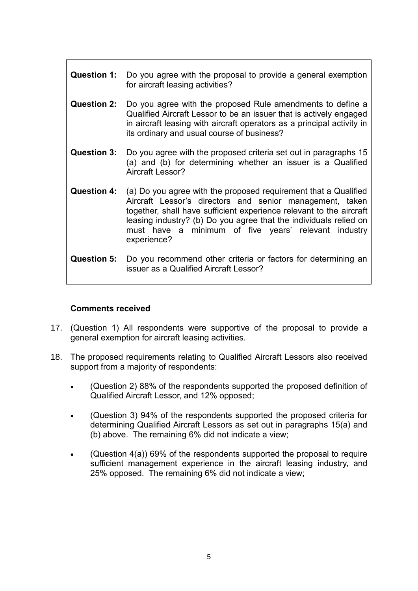- **Question 1:** Do you agree with the proposal to provide a general exemption for aircraft leasing activities?
- **Question 2:** Do you agree with the proposed Rule amendments to define a Qualified Aircraft Lessor to be an issuer that is actively engaged in aircraft leasing with aircraft operators as a principal activity in its ordinary and usual course of business?
- **Question 3:** Do you agree with the proposed criteria set out in paragraphs 15 (a) and (b) for determining whether an issuer is a Qualified Aircraft Lessor?
- **Question 4:** (a) Do you agree with the proposed requirement that a Qualified Aircraft Lessor's directors and senior management, taken together, shall have sufficient experience relevant to the aircraft leasing industry? (b) Do you agree that the individuals relied on must have a minimum of five years' relevant industry experience?
- **Question 5:** Do you recommend other criteria or factors for determining an issuer as a Qualified Aircraft Lessor?

#### **Comments received**

- 17. (Question 1) All respondents were supportive of the proposal to provide a general exemption for aircraft leasing activities.
- 18. The proposed requirements relating to Qualified Aircraft Lessors also received support from a majority of respondents:
	- (Question 2) 88% of the respondents supported the proposed definition of Qualified Aircraft Lessor, and 12% opposed;
	- (Question 3) 94% of the respondents supported the proposed criteria for determining Qualified Aircraft Lessors as set out in paragraphs 15(a) and (b) above. The remaining 6% did not indicate a view;
	- (Question 4(a)) 69% of the respondents supported the proposal to require sufficient management experience in the aircraft leasing industry, and 25% opposed. The remaining 6% did not indicate a view;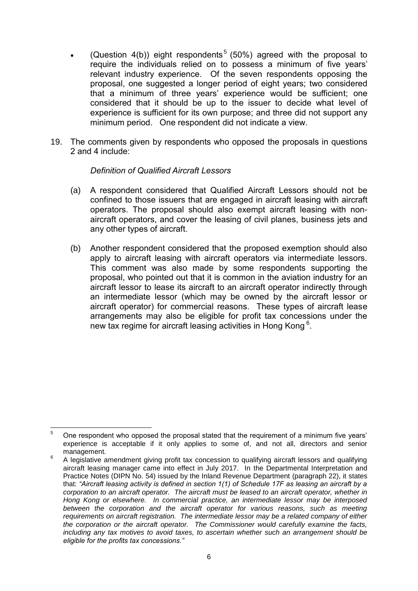- (Question 4(b)) eight respondents<sup>5</sup> (50%) agreed with the proposal to require the individuals relied on to possess a minimum of five years' relevant industry experience. Of the seven respondents opposing the proposal, one suggested a longer period of eight years; two considered that a minimum of three years' experience would be sufficient; one considered that it should be up to the issuer to decide what level of experience is sufficient for its own purpose; and three did not support any minimum period. One respondent did not indicate a view.
- 19. The comments given by respondents who opposed the proposals in questions 2 and 4 include:

### *Definition of Qualified Aircraft Lessors*

- (a) A respondent considered that Qualified Aircraft Lessors should not be confined to those issuers that are engaged in aircraft leasing with aircraft operators. The proposal should also exempt aircraft leasing with nonaircraft operators, and cover the leasing of civil planes, business jets and any other types of aircraft.
- (b) Another respondent considered that the proposed exemption should also apply to aircraft leasing with aircraft operators via intermediate lessors. This comment was also made by some respondents supporting the proposal, who pointed out that it is common in the aviation industry for an aircraft lessor to lease its aircraft to an aircraft operator indirectly through an intermediate lessor (which may be owned by the aircraft lessor or aircraft operator) for commercial reasons. These types of aircraft lease arrangements may also be eligible for profit tax concessions under the new tax regime for aircraft leasing activities in Hong Kong<sup>6</sup>.

 $\overline{5}$ <sup>5</sup> One respondent who opposed the proposal stated that the requirement of a minimum five years' experience is acceptable if it only applies to some of, and not all, directors and senior management.

<sup>6</sup> A legislative amendment giving profit tax concession to qualifying aircraft lessors and qualifying aircraft leasing manager came into effect in July 2017. In the Departmental Interpretation and Practice Notes (DIPN No. 54) issued by the Inland Revenue Department (paragraph 22), it states that: *"Aircraft leasing activity is defined in section 1(1) of Schedule 17F as leasing an aircraft by a corporation to an aircraft operator. The aircraft must be leased to an aircraft operator, whether in Hong Kong or elsewhere. In commercial practice, an intermediate lessor may be interposed*  between the corporation and the aircraft operator for various reasons, such as meeting *requirements on aircraft registration. The intermediate lessor may be a related company of either the corporation or the aircraft operator. The Commissioner would carefully examine the facts, including any tax motives to avoid taxes, to ascertain whether such an arrangement should be eligible for the profits tax concessions."*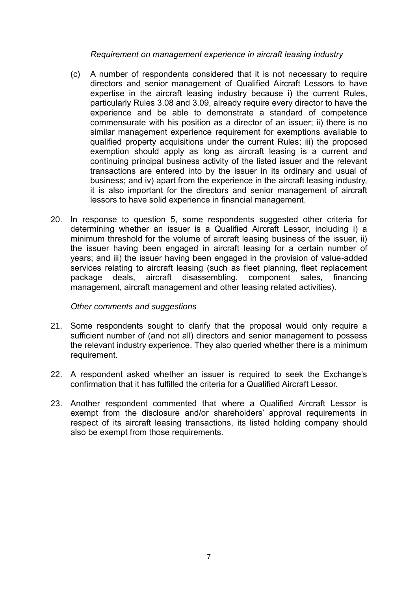*Requirement on management experience in aircraft leasing industry*

- (c) A number of respondents considered that it is not necessary to require directors and senior management of Qualified Aircraft Lessors to have expertise in the aircraft leasing industry because i) the current Rules, particularly Rules 3.08 and 3.09, already require every director to have the experience and be able to demonstrate a standard of competence commensurate with his position as a director of an issuer; ii) there is no similar management experience requirement for exemptions available to qualified property acquisitions under the current Rules; iii) the proposed exemption should apply as long as aircraft leasing is a current and continuing principal business activity of the listed issuer and the relevant transactions are entered into by the issuer in its ordinary and usual of business; and iv) apart from the experience in the aircraft leasing industry, it is also important for the directors and senior management of aircraft lessors to have solid experience in financial management.
- 20. In response to question 5, some respondents suggested other criteria for determining whether an issuer is a Qualified Aircraft Lessor, including i) a minimum threshold for the volume of aircraft leasing business of the issuer, ii) the issuer having been engaged in aircraft leasing for a certain number of years; and iii) the issuer having been engaged in the provision of value-added services relating to aircraft leasing (such as fleet planning, fleet replacement package deals, aircraft disassembling, component sales, financing management, aircraft management and other leasing related activities).

#### *Other comments and suggestions*

- 21. Some respondents sought to clarify that the proposal would only require a sufficient number of (and not all) directors and senior management to possess the relevant industry experience. They also queried whether there is a minimum requirement.
- 22. A respondent asked whether an issuer is required to seek the Exchange's confirmation that it has fulfilled the criteria for a Qualified Aircraft Lessor.
- 23. Another respondent commented that where a Qualified Aircraft Lessor is exempt from the disclosure and/or shareholders' approval requirements in respect of its aircraft leasing transactions, its listed holding company should also be exempt from those requirements.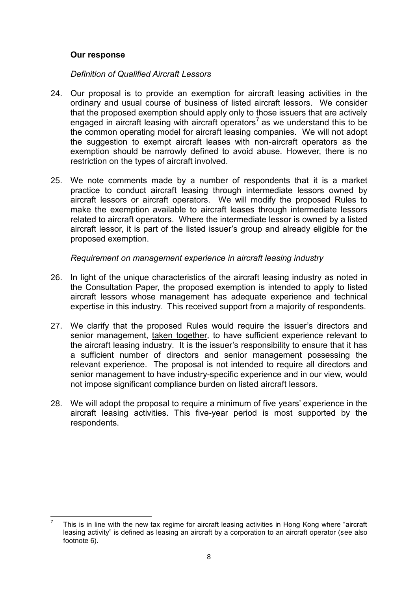### **Our response**

*Definition of Qualified Aircraft Lessors*

- 24. Our proposal is to provide an exemption for aircraft leasing activities in the ordinary and usual course of business of listed aircraft lessors. We consider that the proposed exemption should apply only to those issuers that are actively engaged in aircraft leasing with aircraft operators<sup>7</sup> as we understand this to be the common operating model for aircraft leasing companies. We will not adopt the suggestion to exempt aircraft leases with non-aircraft operators as the exemption should be narrowly defined to avoid abuse. However, there is no restriction on the types of aircraft involved.
- 25. We note comments made by a number of respondents that it is a market practice to conduct aircraft leasing through intermediate lessors owned by aircraft lessors or aircraft operators. We will modify the proposed Rules to make the exemption available to aircraft leases through intermediate lessors related to aircraft operators. Where the intermediate lessor is owned by a listed aircraft lessor, it is part of the listed issuer's group and already eligible for the proposed exemption.

### *Requirement on management experience in aircraft leasing industry*

- 26. In light of the unique characteristics of the aircraft leasing industry as noted in the Consultation Paper, the proposed exemption is intended to apply to listed aircraft lessors whose management has adequate experience and technical expertise in this industry. This received support from a majority of respondents.
- 27. We clarify that the proposed Rules would require the issuer's directors and senior management, taken together, to have sufficient experience relevant to the aircraft leasing industry. It is the issuer's responsibility to ensure that it has a sufficient number of directors and senior management possessing the relevant experience. The proposal is not intended to require all directors and senior management to have industry-specific experience and in our view, would not impose significant compliance burden on listed aircraft lessors.
- 28. We will adopt the proposal to require a minimum of five years' experience in the aircraft leasing activities. This five-year period is most supported by the respondents.

<sup>1</sup> 7 This is in line with the new tax regime for aircraft leasing activities in Hong Kong where "aircraft leasing activity" is defined as leasing an aircraft by a corporation to an aircraft operator (see also footnote 6).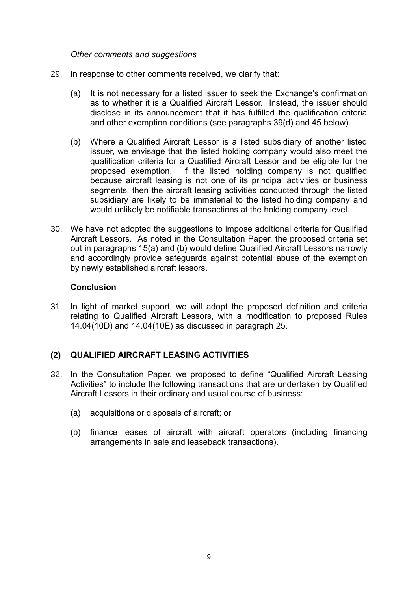*Other comments and suggestions*

- 29. In response to other comments received, we clarify that:
	- (a) It is not necessary for a listed issuer to seek the Exchange's confirmation as to whether it is a Qualified Aircraft Lessor. Instead, the issuer should disclose in its announcement that it has fulfilled the qualification criteria and other exemption conditions (see paragraphs 39(d) and 45 below).
	- (b) Where a Qualified Aircraft Lessor is a listed subsidiary of another listed issuer, we envisage that the listed holding company would also meet the qualification criteria for a Qualified Aircraft Lessor and be eligible for the proposed exemption. If the listed holding company is not qualified because aircraft leasing is not one of its principal activities or business segments, then the aircraft leasing activities conducted through the listed subsidiary are likely to be immaterial to the listed holding company and would unlikely be notifiable transactions at the holding company level.
- 30. We have not adopted the suggestions to impose additional criteria for Qualified Aircraft Lessors. As noted in the Consultation Paper, the proposed criteria set out in paragraphs 15(a) and (b) would define Qualified Aircraft Lessors narrowly and accordingly provide safeguards against potential abuse of the exemption by newly established aircraft lessors.

#### **Conclusion**

31. In light of market support, we will adopt the proposed definition and criteria relating to Qualified Aircraft Lessors, with a modification to proposed Rules 14.04(10D) and 14.04(10E) as discussed in paragraph 25.

# **(2) QUALIFIED AIRCRAFT LEASING ACTIVITIES**

- 32. In the Consultation Paper, we proposed to define "Qualified Aircraft Leasing Activities" to include the following transactions that are undertaken by Qualified Aircraft Lessors in their ordinary and usual course of business:
	- (a) acquisitions or disposals of aircraft; or
	- (b) finance leases of aircraft with aircraft operators (including financing arrangements in sale and leaseback transactions).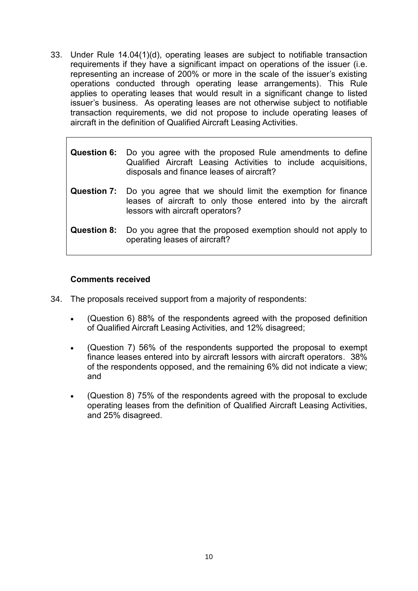33. Under Rule 14.04(1)(d), operating leases are subject to notifiable transaction requirements if they have a significant impact on operations of the issuer (i.e. representing an increase of 200% or more in the scale of the issuer's existing operations conducted through operating lease arrangements). This Rule applies to operating leases that would result in a significant change to listed issuer's business. As operating leases are not otherwise subject to notifiable transaction requirements, we did not propose to include operating leases of aircraft in the definition of Qualified Aircraft Leasing Activities.

|             | <b>Question 6:</b> Do you agree with the proposed Rule amendments to define<br>Qualified Aircraft Leasing Activities to include acquisitions,<br>disposals and finance leases of aircraft? |
|-------------|--------------------------------------------------------------------------------------------------------------------------------------------------------------------------------------------|
|             | <b>Question 7:</b> Do you agree that we should limit the exemption for finance<br>leases of aircraft to only those entered into by the aircraft<br>lessors with aircraft operators?        |
| Question 8: | Do you agree that the proposed exemption should not apply to<br>operating leases of aircraft?                                                                                              |

# **Comments received**

- 34. The proposals received support from a majority of respondents:
	- (Question 6) 88% of the respondents agreed with the proposed definition of Qualified Aircraft Leasing Activities, and 12% disagreed;
	- (Question 7) 56% of the respondents supported the proposal to exempt finance leases entered into by aircraft lessors with aircraft operators. 38% of the respondents opposed, and the remaining 6% did not indicate a view; and
	- (Question 8) 75% of the respondents agreed with the proposal to exclude operating leases from the definition of Qualified Aircraft Leasing Activities, and 25% disagreed.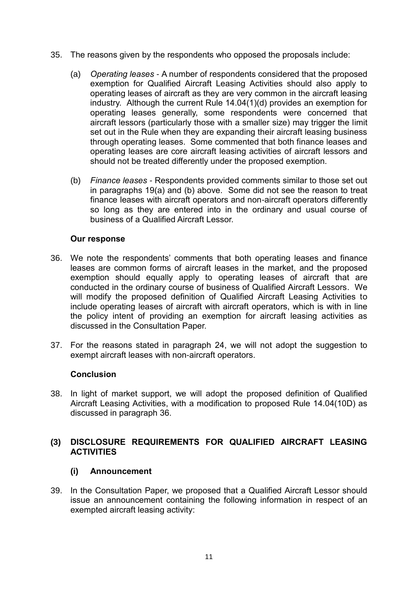- 35. The reasons given by the respondents who opposed the proposals include:
	- (a) *Operating leases* A number of respondents considered that the proposed exemption for Qualified Aircraft Leasing Activities should also apply to operating leases of aircraft as they are very common in the aircraft leasing industry. Although the current Rule 14.04(1)(d) provides an exemption for operating leases generally, some respondents were concerned that aircraft lessors (particularly those with a smaller size) may trigger the limit set out in the Rule when they are expanding their aircraft leasing business through operating leases. Some commented that both finance leases and operating leases are core aircraft leasing activities of aircraft lessors and should not be treated differently under the proposed exemption.
	- (b) *Finance leases -* Respondents provided comments similar to those set out in paragraphs 19(a) and (b) above. Some did not see the reason to treat finance leases with aircraft operators and non-aircraft operators differently so long as they are entered into in the ordinary and usual course of business of a Qualified Aircraft Lessor.

### **Our response**

- 36. We note the respondents' comments that both operating leases and finance leases are common forms of aircraft leases in the market, and the proposed exemption should equally apply to operating leases of aircraft that are conducted in the ordinary course of business of Qualified Aircraft Lessors. We will modify the proposed definition of Qualified Aircraft Leasing Activities to include operating leases of aircraft with aircraft operators, which is with in line the policy intent of providing an exemption for aircraft leasing activities as discussed in the Consultation Paper.
- 37. For the reasons stated in paragraph 24, we will not adopt the suggestion to exempt aircraft leases with non-aircraft operators.

#### **Conclusion**

38. In light of market support, we will adopt the proposed definition of Qualified Aircraft Leasing Activities, with a modification to proposed Rule 14.04(10D) as discussed in paragraph 36.

### **(3) DISCLOSURE REQUIREMENTS FOR QUALIFIED AIRCRAFT LEASING ACTIVITIES**

# **(i) Announcement**

39. In the Consultation Paper, we proposed that a Qualified Aircraft Lessor should issue an announcement containing the following information in respect of an exempted aircraft leasing activity: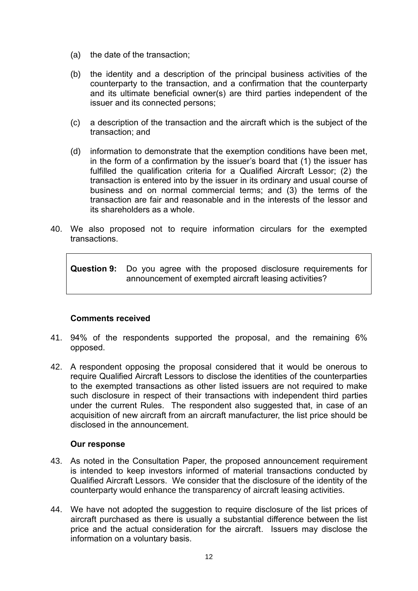- (a) the date of the transaction;
- (b) the identity and a description of the principal business activities of the counterparty to the transaction, and a confirmation that the counterparty and its ultimate beneficial owner(s) are third parties independent of the issuer and its connected persons;
- (c) a description of the transaction and the aircraft which is the subject of the transaction; and
- (d) information to demonstrate that the exemption conditions have been met, in the form of a confirmation by the issuer's board that (1) the issuer has fulfilled the qualification criteria for a Qualified Aircraft Lessor; (2) the transaction is entered into by the issuer in its ordinary and usual course of business and on normal commercial terms; and (3) the terms of the transaction are fair and reasonable and in the interests of the lessor and its shareholders as a whole.
- 40. We also proposed not to require information circulars for the exempted transactions.

**Question 9:** Do you agree with the proposed disclosure requirements for announcement of exempted aircraft leasing activities?

# **Comments received**

- 41. 94% of the respondents supported the proposal, and the remaining 6% opposed.
- 42. A respondent opposing the proposal considered that it would be onerous to require Qualified Aircraft Lessors to disclose the identities of the counterparties to the exempted transactions as other listed issuers are not required to make such disclosure in respect of their transactions with independent third parties under the current Rules. The respondent also suggested that, in case of an acquisition of new aircraft from an aircraft manufacturer, the list price should be disclosed in the announcement.

#### **Our response**

- 43. As noted in the Consultation Paper, the proposed announcement requirement is intended to keep investors informed of material transactions conducted by Qualified Aircraft Lessors. We consider that the disclosure of the identity of the counterparty would enhance the transparency of aircraft leasing activities.
- 44. We have not adopted the suggestion to require disclosure of the list prices of aircraft purchased as there is usually a substantial difference between the list price and the actual consideration for the aircraft. Issuers may disclose the information on a voluntary basis.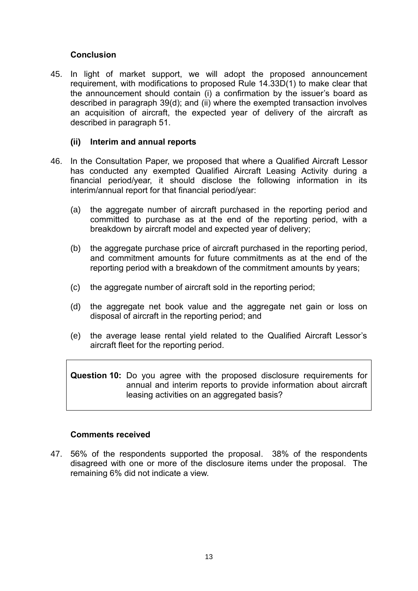## **Conclusion**

45. In light of market support, we will adopt the proposed announcement requirement, with modifications to proposed Rule 14.33D(1) to make clear that the announcement should contain (i) a confirmation by the issuer's board as described in paragraph 39(d); and (ii) where the exempted transaction involves an acquisition of aircraft, the expected year of delivery of the aircraft as described in paragraph 51.

#### **(ii) Interim and annual reports**

- 46. In the Consultation Paper, we proposed that where a Qualified Aircraft Lessor has conducted any exempted Qualified Aircraft Leasing Activity during a financial period/year, it should disclose the following information in its interim/annual report for that financial period/year:
	- (a) the aggregate number of aircraft purchased in the reporting period and committed to purchase as at the end of the reporting period, with a breakdown by aircraft model and expected year of delivery;
	- (b) the aggregate purchase price of aircraft purchased in the reporting period, and commitment amounts for future commitments as at the end of the reporting period with a breakdown of the commitment amounts by years;
	- (c) the aggregate number of aircraft sold in the reporting period;
	- (d) the aggregate net book value and the aggregate net gain or loss on disposal of aircraft in the reporting period; and
	- (e) the average lease rental yield related to the Qualified Aircraft Lessor's aircraft fleet for the reporting period.

**Question 10:** Do you agree with the proposed disclosure requirements for annual and interim reports to provide information about aircraft leasing activities on an aggregated basis?

#### **Comments received**

47. 56% of the respondents supported the proposal. 38% of the respondents disagreed with one or more of the disclosure items under the proposal. The remaining 6% did not indicate a view.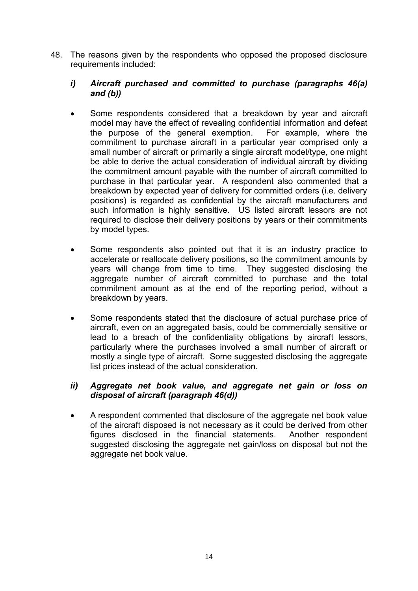48. The reasons given by the respondents who opposed the proposed disclosure requirements included:

### *i) Aircraft purchased and committed to purchase (paragraphs 46(a) and (b))*

- Some respondents considered that a breakdown by year and aircraft model may have the effect of revealing confidential information and defeat the purpose of the general exemption. For example, where the commitment to purchase aircraft in a particular year comprised only a small number of aircraft or primarily a single aircraft model/type, one might be able to derive the actual consideration of individual aircraft by dividing the commitment amount payable with the number of aircraft committed to purchase in that particular year. A respondent also commented that a breakdown by expected year of delivery for committed orders (i.e. delivery positions) is regarded as confidential by the aircraft manufacturers and such information is highly sensitive. US listed aircraft lessors are not required to disclose their delivery positions by years or their commitments by model types.
- Some respondents also pointed out that it is an industry practice to accelerate or reallocate delivery positions, so the commitment amounts by years will change from time to time. They suggested disclosing the aggregate number of aircraft committed to purchase and the total commitment amount as at the end of the reporting period, without a breakdown by years.
- Some respondents stated that the disclosure of actual purchase price of aircraft, even on an aggregated basis, could be commercially sensitive or lead to a breach of the confidentiality obligations by aircraft lessors, particularly where the purchases involved a small number of aircraft or mostly a single type of aircraft. Some suggested disclosing the aggregate list prices instead of the actual consideration.

# *ii) Aggregate net book value, and aggregate net gain or loss on disposal of aircraft (paragraph 46(d))*

 A respondent commented that disclosure of the aggregate net book value of the aircraft disposed is not necessary as it could be derived from other figures disclosed in the financial statements. Another respondent suggested disclosing the aggregate net gain/loss on disposal but not the aggregate net book value.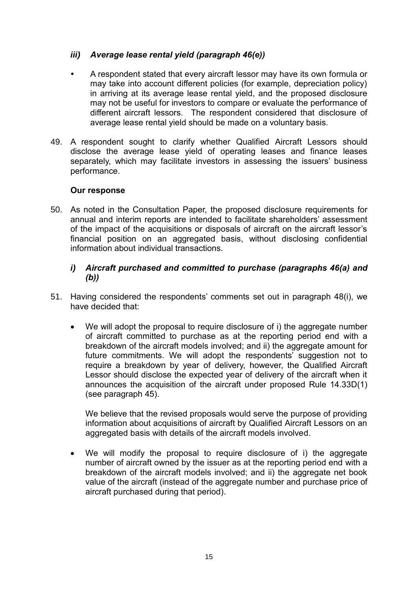# *iii) Average lease rental yield (paragraph 46(e))*

- A respondent stated that every aircraft lessor may have its own formula or may take into account different policies (for example, depreciation policy) in arriving at its average lease rental yield, and the proposed disclosure may not be useful for investors to compare or evaluate the performance of different aircraft lessors. The respondent considered that disclosure of average lease rental yield should be made on a voluntary basis.
- 49. A respondent sought to clarify whether Qualified Aircraft Lessors should disclose the average lease yield of operating leases and finance leases separately, which may facilitate investors in assessing the issuers' business performance.

# **Our response**

50. As noted in the Consultation Paper, the proposed disclosure requirements for annual and interim reports are intended to facilitate shareholders' assessment of the impact of the acquisitions or disposals of aircraft on the aircraft lessor's financial position on an aggregated basis, without disclosing confidential information about individual transactions.

# *i) Aircraft purchased and committed to purchase (paragraphs 46(a) and (b))*

- 51. Having considered the respondents' comments set out in paragraph 48(i), we have decided that:
	- We will adopt the proposal to require disclosure of i) the aggregate number of aircraft committed to purchase as at the reporting period end with a breakdown of the aircraft models involved; and ii) the aggregate amount for future commitments. We will adopt the respondents' suggestion not to require a breakdown by year of delivery, however, the Qualified Aircraft Lessor should disclose the expected year of delivery of the aircraft when it announces the acquisition of the aircraft under proposed Rule 14.33D(1) (see paragraph 45).

We believe that the revised proposals would serve the purpose of providing information about acquisitions of aircraft by Qualified Aircraft Lessors on an aggregated basis with details of the aircraft models involved.

We will modify the proposal to require disclosure of i) the aggregate number of aircraft owned by the issuer as at the reporting period end with a breakdown of the aircraft models involved; and ii) the aggregate net book value of the aircraft (instead of the aggregate number and purchase price of aircraft purchased during that period).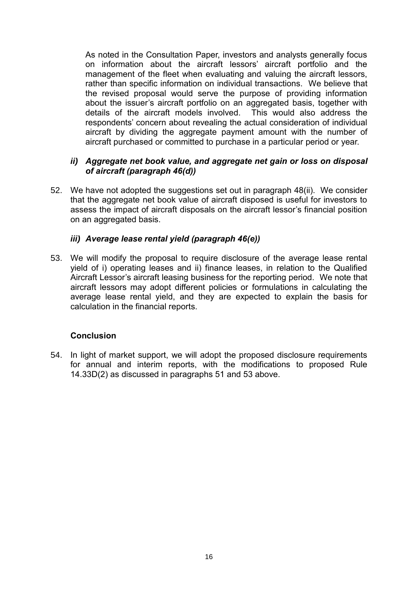As noted in the Consultation Paper, investors and analysts generally focus on information about the aircraft lessors' aircraft portfolio and the management of the fleet when evaluating and valuing the aircraft lessors, rather than specific information on individual transactions. We believe that the revised proposal would serve the purpose of providing information about the issuer's aircraft portfolio on an aggregated basis, together with details of the aircraft models involved. This would also address the respondents' concern about revealing the actual consideration of individual aircraft by dividing the aggregate payment amount with the number of aircraft purchased or committed to purchase in a particular period or year.

#### *ii) Aggregate net book value, and aggregate net gain or loss on disposal of aircraft (paragraph 46(d))*

52. We have not adopted the suggestions set out in paragraph 48(ii). We consider that the aggregate net book value of aircraft disposed is useful for investors to assess the impact of aircraft disposals on the aircraft lessor's financial position on an aggregated basis.

### *iii) Average lease rental yield (paragraph 46(e))*

53. We will modify the proposal to require disclosure of the average lease rental yield of i) operating leases and ii) finance leases, in relation to the Qualified Aircraft Lessor's aircraft leasing business for the reporting period. We note that aircraft lessors may adopt different policies or formulations in calculating the average lease rental yield, and they are expected to explain the basis for calculation in the financial reports.

#### **Conclusion**

54. In light of market support, we will adopt the proposed disclosure requirements for annual and interim reports, with the modifications to proposed Rule 14.33D(2) as discussed in paragraphs 51 and 53 above.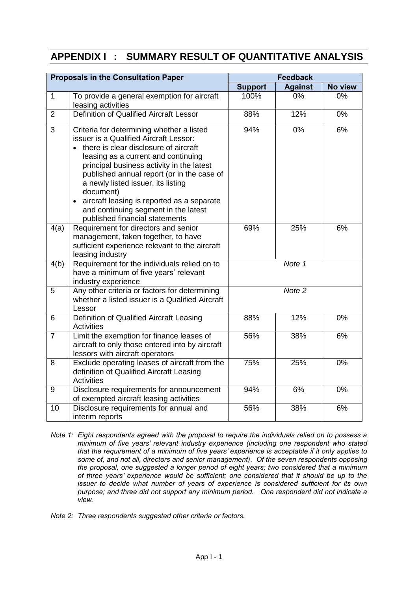# **APPENDIX I : SUMMARY RESULT OF QUANTITATIVE ANALYSIS**

| <b>Proposals in the Consultation Paper</b> |                                                                                                                                                                                                                                                                                                                                                                                                                                                                     | <b>Feedback</b>   |                |         |  |
|--------------------------------------------|---------------------------------------------------------------------------------------------------------------------------------------------------------------------------------------------------------------------------------------------------------------------------------------------------------------------------------------------------------------------------------------------------------------------------------------------------------------------|-------------------|----------------|---------|--|
|                                            |                                                                                                                                                                                                                                                                                                                                                                                                                                                                     | <b>Support</b>    | <b>Against</b> | No view |  |
| $\mathbf{1}$                               | To provide a general exemption for aircraft<br>leasing activities                                                                                                                                                                                                                                                                                                                                                                                                   | 100%              | 0%             | 0%      |  |
| $\overline{2}$                             | <b>Definition of Qualified Aircraft Lessor</b>                                                                                                                                                                                                                                                                                                                                                                                                                      | 88%               | 12%            | 0%      |  |
| 3                                          | Criteria for determining whether a listed<br>issuer is a Qualified Aircraft Lessor:<br>there is clear disclosure of aircraft<br>$\bullet$<br>leasing as a current and continuing<br>principal business activity in the latest<br>published annual report (or in the case of<br>a newly listed issuer, its listing<br>document)<br>aircraft leasing is reported as a separate<br>$\bullet$<br>and continuing segment in the latest<br>published financial statements | 94%               | 0%             | 6%      |  |
| 4(a)                                       | Requirement for directors and senior<br>management, taken together, to have<br>sufficient experience relevant to the aircraft<br>leasing industry                                                                                                                                                                                                                                                                                                                   | 69%               | 25%            | 6%      |  |
| 4(b)                                       | Requirement for the individuals relied on to<br>have a minimum of five years' relevant<br>industry experience                                                                                                                                                                                                                                                                                                                                                       | Note 1            |                |         |  |
| 5                                          | Any other criteria or factors for determining<br>whether a listed issuer is a Qualified Aircraft<br>Lessor                                                                                                                                                                                                                                                                                                                                                          | Note <sub>2</sub> |                |         |  |
| 6                                          | Definition of Qualified Aircraft Leasing<br><b>Activities</b>                                                                                                                                                                                                                                                                                                                                                                                                       | 88%               | 12%            | 0%      |  |
| $\overline{7}$                             | Limit the exemption for finance leases of<br>aircraft to only those entered into by aircraft<br>lessors with aircraft operators                                                                                                                                                                                                                                                                                                                                     | 56%               | 38%            | 6%      |  |
| 8                                          | Exclude operating leases of aircraft from the<br>definition of Qualified Aircraft Leasing<br><b>Activities</b>                                                                                                                                                                                                                                                                                                                                                      | 75%               | 25%            | 0%      |  |
| 9                                          | Disclosure requirements for announcement<br>of exempted aircraft leasing activities                                                                                                                                                                                                                                                                                                                                                                                 | 94%               | 6%             | 0%      |  |
| 10                                         | Disclosure requirements for annual and<br>interim reports                                                                                                                                                                                                                                                                                                                                                                                                           | 56%               | 38%            | 6%      |  |

- *Note 1: Eight respondents agreed with the proposal to require the individuals relied on to possess a minimum of five years' relevant industry experience (including one respondent who stated that the requirement of a minimum of five years' experience is acceptable if it only applies to some of, and not all, directors and senior management). Of the seven respondents opposing the proposal, one suggested a longer period of eight years; two considered that a minimum of three years' experience would be sufficient; one considered that it should be up to the issuer to decide what number of years of experience is considered sufficient for its own purpose; and three did not support any minimum period. One respondent did not indicate a view.*
- *Note 2: Three respondents suggested other criteria or factors.*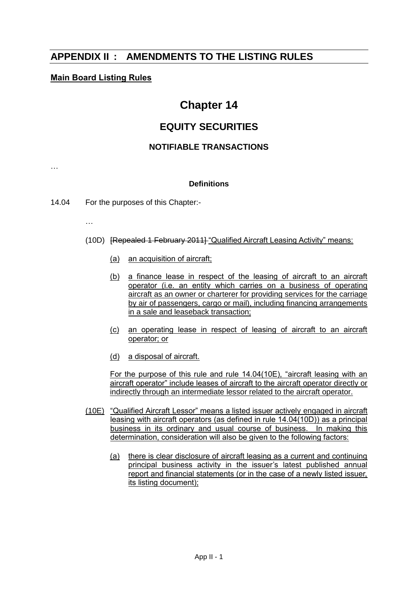# **APPENDIX II : AMENDMENTS TO THE LISTING RULES**

## **Main Board Listing Rules**

# **Chapter 14**

# **EQUITY SECURITIES**

## **NOTIFIABLE TRANSACTIONS**

#### **Definitions**

14.04 For the purposes of this Chapter:-

…

…

- (10D) [Repealed 1 February 2011] "Qualified Aircraft Leasing Activity" means:
	- (a) an acquisition of aircraft;
	- (b) a finance lease in respect of the leasing of aircraft to an aircraft operator (i.e. an entity which carries on a business of operating aircraft as an owner or charterer for providing services for the carriage by air of passengers, cargo or mail), including financing arrangements in a sale and leaseback transaction;
	- (c) an operating lease in respect of leasing of aircraft to an aircraft operator; or
	- (d) a disposal of aircraft.

For the purpose of this rule and rule 14.04(10E), "aircraft leasing with an aircraft operator" include leases of aircraft to the aircraft operator directly or indirectly through an intermediate lessor related to the aircraft operator.

- (10E) "Qualified Aircraft Lessor" means a listed issuer actively engaged in aircraft leasing with aircraft operators (as defined in rule 14.04(10D)) as a principal business in its ordinary and usual course of business. In making this determination, consideration will also be given to the following factors:
	- (a) there is clear disclosure of aircraft leasing as a current and continuing principal business activity in the issuer's latest published annual report and financial statements (or in the case of a newly listed issuer, its listing document);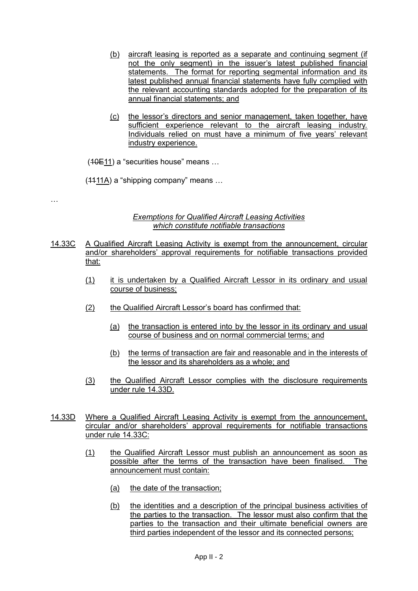- (b) aircraft leasing is reported as a separate and continuing segment (if not the only segment) in the issuer's latest published financial statements. The format for reporting segmental information and its latest published annual financial statements have fully complied with the relevant accounting standards adopted for the preparation of its annual financial statements; and
- (c) the lessor's directors and senior management, taken together, have sufficient experience relevant to the aircraft leasing industry. Individuals relied on must have a minimum of five years' relevant industry experience.

(10E11) a "securities house" means …

(1111A) a "shipping company" means …

…

#### *Exemptions for Qualified Aircraft Leasing Activities which constitute notifiable transactions*

- 14.33C A Qualified Aircraft Leasing Activity is exempt from the announcement, circular and/or shareholders' approval requirements for notifiable transactions provided that:
	- (1) it is undertaken by a Qualified Aircraft Lessor in its ordinary and usual course of business;
	- (2) the Qualified Aircraft Lessor's board has confirmed that:
		- (a) the transaction is entered into by the lessor in its ordinary and usual course of business and on normal commercial terms; and
		- (b) the terms of transaction are fair and reasonable and in the interests of the lessor and its shareholders as a whole; and
	- (3) the Qualified Aircraft Lessor complies with the disclosure requirements under rule 14.33D.
- 14.33D Where a Qualified Aircraft Leasing Activity is exempt from the announcement, circular and/or shareholders' approval requirements for notifiable transactions under rule 14.33C:
	- (1) the Qualified Aircraft Lessor must publish an announcement as soon as possible after the terms of the transaction have been finalised. The announcement must contain:
		- (a) the date of the transaction;
		- (b) the identities and a description of the principal business activities of the parties to the transaction. The lessor must also confirm that the parties to the transaction and their ultimate beneficial owners are third parties independent of the lessor and its connected persons;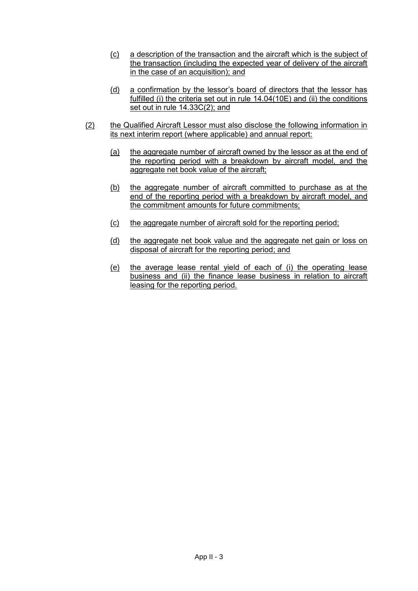- (c) a description of the transaction and the aircraft which is the subject of the transaction (including the expected year of delivery of the aircraft in the case of an acquisition); and
- (d) a confirmation by the lessor's board of directors that the lessor has fulfilled (i) the criteria set out in rule 14.04(10E) and (ii) the conditions set out in rule 14.33C(2); and
- (2) the Qualified Aircraft Lessor must also disclose the following information in its next interim report (where applicable) and annual report:
	- (a) the aggregate number of aircraft owned by the lessor as at the end of the reporting period with a breakdown by aircraft model, and the aggregate net book value of the aircraft;
	- (b) the aggregate number of aircraft committed to purchase as at the end of the reporting period with a breakdown by aircraft model, and the commitment amounts for future commitments;
	- (c) the aggregate number of aircraft sold for the reporting period;
	- (d) the aggregate net book value and the aggregate net gain or loss on disposal of aircraft for the reporting period; and
	- (e) the average lease rental yield of each of (i) the operating lease business and (ii) the finance lease business in relation to aircraft leasing for the reporting period.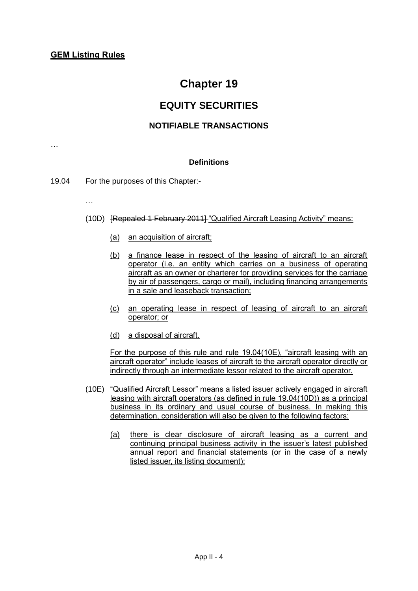# **Chapter 19**

# **EQUITY SECURITIES**

### **NOTIFIABLE TRANSACTIONS**

**Definitions**

- 19.04 For the purposes of this Chapter:-
	- …

…

- (10D) [Repealed 1 February 2011] "Qualified Aircraft Leasing Activity" means:
	- (a) an acquisition of aircraft;
	- (b) a finance lease in respect of the leasing of aircraft to an aircraft operator (i.e. an entity which carries on a business of operating aircraft as an owner or charterer for providing services for the carriage by air of passengers, cargo or mail), including financing arrangements in a sale and leaseback transaction;
	- (c) an operating lease in respect of leasing of aircraft to an aircraft operator; or
	- (d) a disposal of aircraft.

For the purpose of this rule and rule 19.04(10E), "aircraft leasing with an aircraft operator" include leases of aircraft to the aircraft operator directly or indirectly through an intermediate lessor related to the aircraft operator.

- (10E) "Qualified Aircraft Lessor" means a listed issuer actively engaged in aircraft leasing with aircraft operators (as defined in rule 19.04(10D)) as a principal business in its ordinary and usual course of business. In making this determination, consideration will also be given to the following factors:
	- (a) there is clear disclosure of aircraft leasing as a current and continuing principal business activity in the issuer's latest published annual report and financial statements (or in the case of a newly listed issuer, its listing document);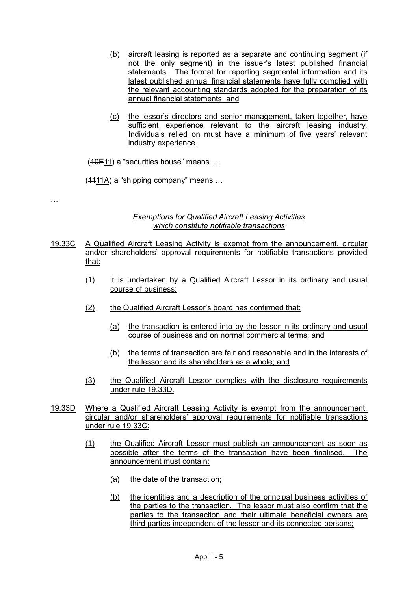- (b) aircraft leasing is reported as a separate and continuing segment (if not the only segment) in the issuer's latest published financial statements. The format for reporting segmental information and its latest published annual financial statements have fully complied with the relevant accounting standards adopted for the preparation of its annual financial statements; and
- (c) the lessor's directors and senior management, taken together, have sufficient experience relevant to the aircraft leasing industry. Individuals relied on must have a minimum of five years' relevant industry experience.

(10E11) a "securities house" means …

(1111A) a "shipping company" means …

…

#### *Exemptions for Qualified Aircraft Leasing Activities which constitute notifiable transactions*

- 19.33C A Qualified Aircraft Leasing Activity is exempt from the announcement, circular and/or shareholders' approval requirements for notifiable transactions provided that:
	- (1) it is undertaken by a Qualified Aircraft Lessor in its ordinary and usual course of business;
	- (2) the Qualified Aircraft Lessor's board has confirmed that:
		- (a) the transaction is entered into by the lessor in its ordinary and usual course of business and on normal commercial terms; and
		- (b) the terms of transaction are fair and reasonable and in the interests of the lessor and its shareholders as a whole; and
	- (3) the Qualified Aircraft Lessor complies with the disclosure requirements under rule 19.33D.
- 19.33D Where a Qualified Aircraft Leasing Activity is exempt from the announcement, circular and/or shareholders' approval requirements for notifiable transactions under rule 19.33C:
	- (1) the Qualified Aircraft Lessor must publish an announcement as soon as possible after the terms of the transaction have been finalised. The announcement must contain:
		- (a) the date of the transaction;
		- (b) the identities and a description of the principal business activities of the parties to the transaction. The lessor must also confirm that the parties to the transaction and their ultimate beneficial owners are third parties independent of the lessor and its connected persons;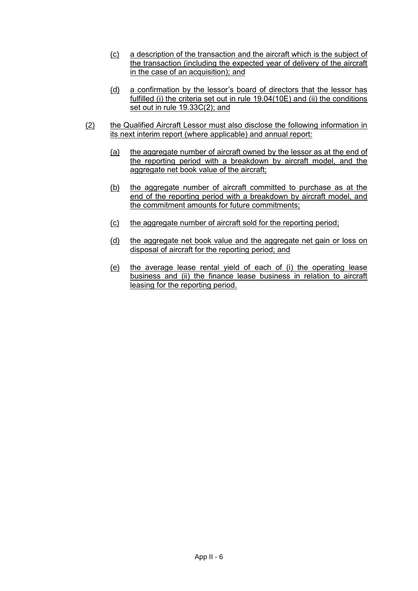- (c) a description of the transaction and the aircraft which is the subject of the transaction (including the expected year of delivery of the aircraft in the case of an acquisition); and
- (d) a confirmation by the lessor's board of directors that the lessor has fulfilled (i) the criteria set out in rule 19.04(10E) and (ii) the conditions set out in rule 19.33C(2); and
- (2) the Qualified Aircraft Lessor must also disclose the following information in its next interim report (where applicable) and annual report:
	- (a) the aggregate number of aircraft owned by the lessor as at the end of the reporting period with a breakdown by aircraft model, and the aggregate net book value of the aircraft;
	- (b) the aggregate number of aircraft committed to purchase as at the end of the reporting period with a breakdown by aircraft model, and the commitment amounts for future commitments;
	- (c) the aggregate number of aircraft sold for the reporting period;
	- (d) the aggregate net book value and the aggregate net gain or loss on disposal of aircraft for the reporting period; and
	- (e) the average lease rental yield of each of (i) the operating lease business and (ii) the finance lease business in relation to aircraft leasing for the reporting period.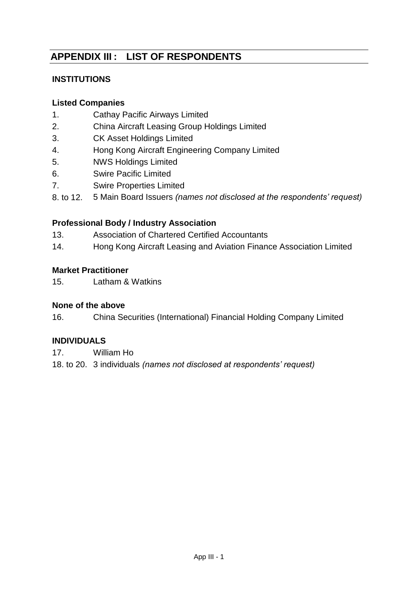# **APPENDIX III : LIST OF RESPONDENTS**

# **INSTITUTIONS**

# **Listed Companies**

- 1. Cathay Pacific Airways Limited
- 2. China Aircraft Leasing Group Holdings Limited
- 3. CK Asset Holdings Limited
- 4. Hong Kong Aircraft Engineering Company Limited
- 5. NWS Holdings Limited
- 6. Swire Pacific Limited
- 7. Swire Properties Limited
- 8. to 12. 5 Main Board Issuers *(names not disclosed at the respondents' request)*

# **Professional Body / Industry Association**

- 13. Association of Chartered Certified Accountants
- 14. Hong Kong Aircraft Leasing and Aviation Finance Association Limited

# **Market Practitioner**

15. Latham & Watkins

# **None of the above**

16. China Securities (International) Financial Holding Company Limited

# **INDIVIDUALS**

17. William Ho

18. to 20. 3 individuals *(names not disclosed at respondents' request)*